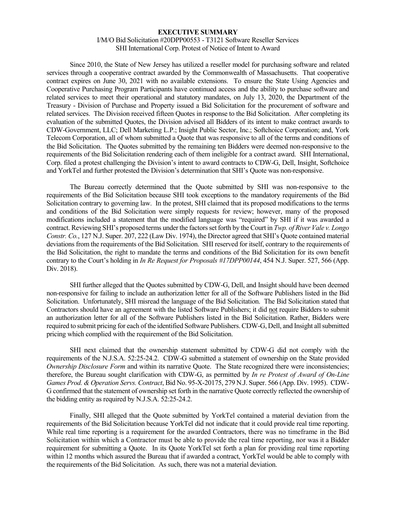#### **EXECUTIVE SUMMARY**

### I/M/O Bid Solicitation #20DPP00553 - T3121 Software Reseller Services SHI International Corp. Protest of Notice of Intent to Award

Since 2010, the State of New Jersey has utilized a reseller model for purchasing software and related services through a cooperative contract awarded by the Commonwealth of Massachusetts. That cooperative contract expires on June 30, 2021 with no available extensions. To ensure the State Using Agencies and Cooperative Purchasing Program Participants have continued access and the ability to purchase software and related services to meet their operational and statutory mandates, on July 13, 2020, the Department of the Treasury - Division of Purchase and Property issued a Bid Solicitation for the procurement of software and related services. The Division received fifteen Quotes in response to the Bid Solicitation. After completing its evaluation of the submitted Quotes, the Division advised all Bidders of its intent to make contract awards to CDW-Government, LLC; Dell Marketing L.P.; Insight Public Sector, Inc.; Softchoice Corporation; and, York Telecom Corporation, all of whom submitted a Quote that was responsive to all of the terms and conditions of the Bid Solicitation. The Quotes submitted by the remaining ten Bidders were deemed non-responsive to the requirements of the Bid Solicitation rendering each of them ineligible for a contract award. SHI International, Corp. filed a protest challenging the Division's intent to award contracts to CDW-G, Dell, Insight, Softchoice and YorkTel and further protested the Division's determination that SHI's Quote was non-responsive.

The Bureau correctly determined that the Quote submitted by SHI was non-responsive to the requirements of the Bid Solicitation because SHI took exceptions to the mandatory requirements of the Bid Solicitation contrary to governing law. In the protest, SHI claimed that its proposed modifications to the terms and conditions of the Bid Solicitation were simply requests for review; however, many of the proposed modifications included a statement that the modified language was "required" by SHI if it was awarded a contract. Reviewing SHI's proposed terms under the factors set forth by the Court in *Twp. of River Vale v. Longo Constr. Co.*, 127 N.J. Super. 207, 222 (Law Div. 1974), the Director agreed that SHI's Quote contained material deviations from the requirements of the Bid Solicitation. SHI reserved for itself, contrary to the requirements of the Bid Solicitation, the right to mandate the terms and conditions of the Bid Solicitation for its own benefit contrary to the Court's holding in *In Re Request for Proposals #17DPP00144*, 454 N.J. Super. 527, 566 (App. Div. 2018).

SHI further alleged that the Quotes submitted by CDW-G, Dell, and Insight should have been deemed non-responsive for failing to include an authorization letter for all of the Software Publishers listed in the Bid Solicitation. Unfortunately, SHI misread the language of the Bid Solicitation. The Bid Solicitation stated that Contractors should have an agreement with the listed Software Publishers; it did not require Bidders to submit an authorization letter for all of the Software Publishers listed in the Bid Solicitation. Rather, Bidders were required to submit pricing for each of the identified Software Publishers. CDW-G, Dell, and Insight all submitted pricing which complied with the requirement of the Bid Solicitation.

SHI next claimed that the ownership statement submitted by CDW-G did not comply with the requirements of the N.J.S.A. 52:25-24.2. CDW-G submitted a statement of ownership on the State provided *Ownership Disclosure Form* and within its narrative Quote. The State recognized there were inconsistencies; therefore, the Bureau sought clarification with CDW-G, as permitted by *In re Protest of Award of On-Line Games Prod. & Operation Servs. Contract*, Bid No. 95-X-20175, 279 N.J. Super. 566 (App. Div. 1995). CDW-G confirmed that the statement of ownership set forth in the narrative Quote correctly reflected the ownership of the bidding entity as required by N.J.S.A. 52:25-24.2.

Finally, SHI alleged that the Quote submitted by YorkTel contained a material deviation from the requirements of the Bid Solicitation because YorkTel did not indicate that it could provide real time reporting. While real time reporting is a requirement for the awarded Contractors, there was no timeframe in the Bid Solicitation within which a Contractor must be able to provide the real time reporting, nor was it a Bidder requirement for submitting a Quote. In its Quote YorkTel set forth a plan for providing real time reporting within 12 months which assured the Bureau that if awarded a contract, YorkTel would be able to comply with the requirements of the Bid Solicitation. As such, there was not a material deviation.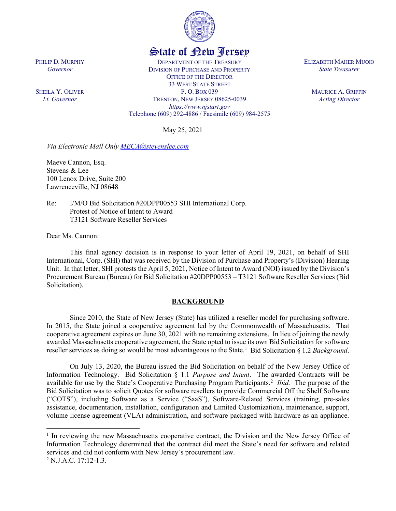

# State of New Jersey

DEPARTMENT OF THE TREASURY DIVISION OF PURCHASE AND PROPERTY OFFICE OF THE DIRECTOR 33 WEST STATE STREET P. O. BOX 039 TRENTON, NEW JERSEY 08625-0039 *https://www.njstart.gov* Telephone (609) 292-4886 / Facsimile (609) 984-2575

May 25, 2021

*Via Electronic Mail Only [MECA@stevenslee.com](mailto:MECA@stevenslee.com)*

Maeve Cannon, Esq. Stevens & Lee 100 Lenox Drive, Suite 200 Lawrenceville, NJ 08648

Re: I/M/O Bid Solicitation #20DPP00553 SHI International Corp. Protest of Notice of Intent to Award T3121 Software Reseller Services

Dear Ms. Cannon:

This final agency decision is in response to your letter of April 19, 2021, on behalf of SHI International, Corp. (SHI) that was received by the Division of Purchase and Property's (Division) Hearing Unit. In that letter, SHI protests the April 5, 2021, Notice of Intent to Award (NOI) issued by the Division's Procurement Bureau (Bureau) for Bid Solicitation #20DPP00553 – T3121 Software Reseller Services (Bid Solicitation).

# **BACKGROUND**

Since 2010, the State of New Jersey (State) has utilized a reseller model for purchasing software. In 2015, the State joined a cooperative agreement led by the Commonwealth of Massachusetts. That cooperative agreement expires on June 30, 2021 with no remaining extensions. In lieu of joining the newly awarded Massachusetts cooperative agreement, the State opted to issue its own Bid Solicitation for software reseller services as doing so would be most advantageous to the State.<sup>[1](#page-1-0)</sup> Bid Solicitation § 1.2 *Background*.

On July 13, 2020, the Bureau issued the Bid Solicitation on behalf of the New Jersey Office of Information Technology. Bid Solicitation § 1.1 *Purpose and Intent*. The awarded Contracts will be available for use by the State's Cooperative Purchasing Program Participants.<sup>[2](#page-1-1)</sup> Ibid. The purpose of the Bid Solicitation was to solicit Quotes for software resellers to provide Commercial Off the Shelf Software ("COTS"), including Software as a Service ("SaaS"), Software-Related Services (training, pre-sales assistance, documentation, installation, configuration and Limited Customization), maintenance, support, volume license agreement (VLA) administration, and software packaged with hardware as an appliance.

 $\overline{a}$ 

PHILIP D. MURPHY *Governor*

SHEILA Y. OLIVER *Lt. Governor*

ELIZABETH MAHER MUOIO *State Treasurer*

> MAURICE A. GRIFFIN *Acting Director*

<span id="page-1-0"></span><sup>&</sup>lt;sup>1</sup> In reviewing the new Massachusetts cooperative contract, the Division and the New Jersey Office of Information Technology determined that the contract did meet the State's need for software and related services and did not conform with New Jersey's procurement law.

<span id="page-1-1"></span><sup>2</sup> N.J.A.C. 17:12-1.3.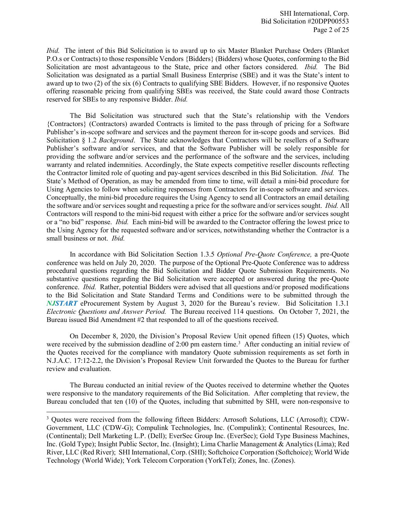*Ibid.* The intent of this Bid Solicitation is to award up to six Master Blanket Purchase Orders (Blanket P.O.s or Contracts) to those responsible Vendors {Bidders} (Bidders) whose Quotes, conforming to the Bid Solicitation are most advantageous to the State, price and other factors considered. *Ibid.* The Bid Solicitation was designated as a partial Small Business Enterprise (SBE) and it was the State's intent to award up to two (2) of the six (6) Contracts to qualifying SBE Bidders. However, if no responsive Quotes offering reasonable pricing from qualifying SBEs was received, the State could award those Contracts reserved for SBEs to any responsive Bidder. *Ibid.*

The Bid Solicitation was structured such that the State's relationship with the Vendors {Contractors} (Contractors) awarded Contracts is limited to the pass through of pricing for a Software Publisher's in-scope software and services and the payment thereon for in-scope goods and services. Bid Solicitation § 1.2 *Background*. The State acknowledges that Contractors will be resellers of a Software Publisher's software and/or services, and that the Software Publisher will be solely responsible for providing the software and/or services and the performance of the software and the services, including warranty and related indemnities. Accordingly, the State expects competitive reseller discounts reflecting the Contractor limited role of quoting and pay-agent services described in this Bid Solicitation. *Ibid.* The State's Method of Operation, as may be amended from time to time, will detail a mini-bid procedure for Using Agencies to follow when soliciting responses from Contractors for in-scope software and services. Conceptually, the mini-bid procedure requires the Using Agency to send all Contractors an email detailing the software and/or services sought and requesting a price for the software and/or services sought. *Ibid.* All Contractors will respond to the mini-bid request with either a price for the software and/or services sought or a "no bid" response. *Ibid.* Each mini-bid will be awarded to the Contractor offering the lowest price to the Using Agency for the requested software and/or services, notwithstanding whether the Contractor is a small business or not. *Ibid.*

In accordance with Bid Solicitation Section 1.3.5 *Optional Pre-Quote Conference,* a pre-Quote conference was held on July 20, 2020. The purpose of the Optional Pre-Quote Conference was to address procedural questions regarding the Bid Solicitation and Bidder Quote Submission Requirements. No substantive questions regarding the Bid Solicitation were accepted or answered during the pre-Quote conference. *Ibid.* Rather, potential Bidders were advised that all questions and/or proposed modifications to the Bid Solicitation and State Standard Terms and Conditions were to be submitted through the *NJSTART* eProcurement System by August 3, 2020 for the Bureau's review. Bid Solicitation 1.3.1 *Electronic Questions and Answer Period.* The Bureau received 114 questions. On October 7, 2021, the Bureau issued Bid Amendment #2 that responded to all of the questions received.

On December 8, 2020, the Division's Proposal Review Unit opened fifteen (15) Quotes, which were received by the submission deadline of 2:00 pm eastern time.<sup>[3](#page-2-0)</sup> After conducting an initial review of the Quotes received for the compliance with mandatory Quote submission requirements as set forth in N.J.A.C. 17:12-2.2, the Division's Proposal Review Unit forwarded the Quotes to the Bureau for further review and evaluation.

The Bureau conducted an initial review of the Quotes received to determine whether the Quotes were responsive to the mandatory requirements of the Bid Solicitation. After completing that review, the Bureau concluded that ten (10) of the Quotes, including that submitted by SHI, were non-responsive to

 $\overline{\phantom{a}}$ 

<span id="page-2-0"></span><sup>&</sup>lt;sup>3</sup> Quotes were received from the following fifteen Bidders: Arrosoft Solutions, LLC (Arrosoft); CDW-Government, LLC (CDW-G); Compulink Technologies, Inc. (Compulink); Continental Resources, Inc. (Continental); Dell Marketing L.P. (Dell); EverSec Group Inc. (EverSec); Gold Type Business Machines, Inc. (Gold Type); Insight Public Sector, Inc. (Insight); Lima Charlie Management & Analytics (Lima); Red River, LLC (Red River); SHI International, Corp. (SHI); Softchoice Corporation (Softchoice); World Wide Technology (World Wide); York Telecom Corporation (YorkTel); Zones, Inc. (Zones).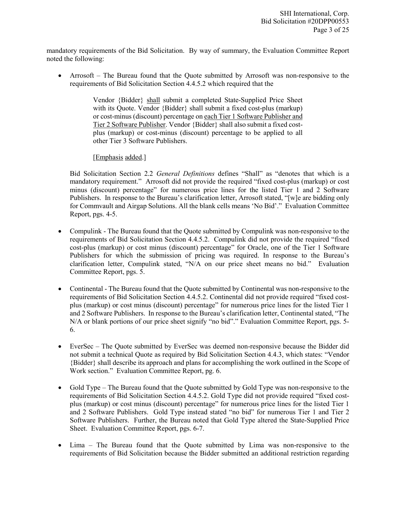mandatory requirements of the Bid Solicitation. By way of summary, the Evaluation Committee Report noted the following:

• Arrosoft – The Bureau found that the Quote submitted by Arrosoft was non-responsive to the requirements of Bid Solicitation Section 4.4.5.2 which required that the

> Vendor {Bidder} shall submit a completed State-Supplied Price Sheet with its Quote. Vendor {Bidder} shall submit a fixed cost-plus (markup) or cost-minus (discount) percentage on each Tier 1 Software Publisher and Tier 2 Software Publisher. Vendor {Bidder} shall also submit a fixed costplus (markup) or cost-minus (discount) percentage to be applied to all other Tier 3 Software Publishers.

[Emphasis added.]

Bid Solicitation Section 2.2 *General Definitions* defines "Shall" as "denotes that which is a mandatory requirement." Arrosoft did not provide the required "fixed cost-plus (markup) or cost minus (discount) percentage" for numerous price lines for the listed Tier 1 and 2 Software Publishers. In response to the Bureau's clarification letter, Arrosoft stated, "[w]e are bidding only for Commvault and Airgap Solutions. All the blank cells means 'No Bid'." Evaluation Committee Report, pgs. 4-5.

- Compulink The Bureau found that the Quote submitted by Compulink was non-responsive to the requirements of Bid Solicitation Section 4.4.5.2. Compulink did not provide the required "fixed cost-plus (markup) or cost minus (discount) percentage" for Oracle, one of the Tier 1 Software Publishers for which the submission of pricing was required. In response to the Bureau's clarification letter, Compulink stated, "N/A on our price sheet means no bid." Evaluation Committee Report, pgs. 5.
- Continental The Bureau found that the Quote submitted by Continental was non-responsive to the requirements of Bid Solicitation Section 4.4.5.2. Continental did not provide required "fixed costplus (markup) or cost minus (discount) percentage" for numerous price lines for the listed Tier 1 and 2 Software Publishers. In response to the Bureau's clarification letter, Continental stated, "The N/A or blank portions of our price sheet signify "no bid"." Evaluation Committee Report, pgs. 5- 6.
- EverSec The Quote submitted by EverSec was deemed non-responsive because the Bidder did not submit a technical Quote as required by Bid Solicitation Section 4.4.3, which states: "Vendor {Bidder} shall describe its approach and plans for accomplishing the work outlined in the Scope of Work section." Evaluation Committee Report, pg. 6.
- Gold Type The Bureau found that the Quote submitted by Gold Type was non-responsive to the requirements of Bid Solicitation Section 4.4.5.2. Gold Type did not provide required "fixed costplus (markup) or cost minus (discount) percentage" for numerous price lines for the listed Tier 1 and 2 Software Publishers. Gold Type instead stated "no bid" for numerous Tier 1 and Tier 2 Software Publishers. Further, the Bureau noted that Gold Type altered the State-Supplied Price Sheet. Evaluation Committee Report, pgs. 6-7.
- Lima The Bureau found that the Quote submitted by Lima was non-responsive to the requirements of Bid Solicitation because the Bidder submitted an additional restriction regarding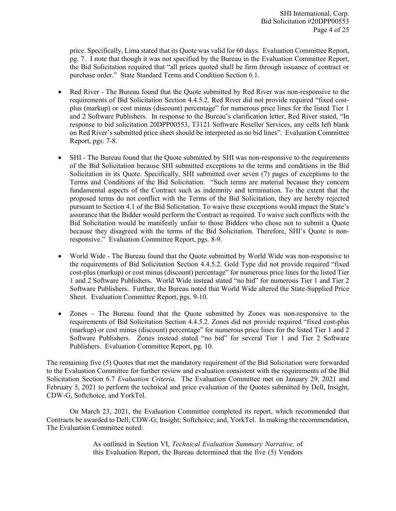price. Specifically, Lima stated that its Quote was valid for 60 days. Evaluation Committee Report, pg. 7. I note that though it was not specified by the Bureau in the Evaluation Committee Report, the Bid Solicitation required that "all prices quoted shall be firm through issuance of contract or purchase order." State Standard Terms and Condition Section 6.1.

- Red River The Bureau found that the Quote submitted by Red River was non-responsive to the requirements of Bid Solicitation Section 4.4.5.2. Red River did not provide required "fixed costplus (markup) or cost minus (discount) percentage" for numerous price lines for the listed Tier 1 and 2 Software Publishers. In response to the Bureau's clarification letter, Red River stated, "In response to bid solicitation 20DPP00553, T3121 Software Reseller Services, any cells left blank on Red River's submitted price sheet should be interpreted as no bid lines". Evaluation Committee Report, pgs. 7-8.
- SHI The Bureau found that the Quote submitted by SHI was non-responsive to the requirements of the Bid Solicitation because SHI submitted exceptions to the terms and conditions in the Bid Solicitation in its Quote. Specifically, SHI submitted over seven (7) pages of exceptions to the Terms and Conditions of the Bid Solicitation. "Such terms are material because they concern fundamental aspects of the Contract such as indemnity and termination. To the extent that the proposed terms do not conflict with the Terms of the Bid Solicitation, they are hereby rejected pursuant to Section 4.1 of the Bid Solicitation. To waive these exceptions would impact the State's assurance that the Bidder would perform the Contract as required. To waive such conflicts with the Bid Solicitation would be manifestly unfair to those Bidders who chose not to submit a Quote because they disagreed with the terms of the Bid Solicitation. Therefore, SHI's Quote is nonresponsive." Evaluation Committee Report, pgs. 8-9.
- World Wide The Bureau found that the Quote submitted by World Wide was non-responsive to the requirements of Bid Solicitation Section 4.4.5.2. Gold Type did not provide required "fixed cost-plus (markup) or cost minus (discount) percentage" for numerous price lines for the listed Tier 1 and 2 Software Publishers. World Wide instead stated "no bid" for numerous Tier 1 and Tier 2 Software Publishers. Further, the Bureau noted that World Wide altered the State-Supplied Price Sheet. Evaluation Committee Report, pgs. 9-10.
- Zones The Bureau found that the Quote submitted by Zones was non-responsive to the requirements of Bid Solicitation Section 4.4.5.2. Zones did not provide required "fixed cost-plus (markup) or cost minus (discount) percentage" for numerous price lines for the listed Tier 1 and 2 Software Publishers. Zones instead stated "no bid" for several Tier 1 and Tier 2 Software Publishers. Evaluation Committee Report, pg. 10.

The remaining five (5) Quotes that met the mandatory requirement of the Bid Solicitation were forwarded to the Evaluation Committee for further review and evaluation consistent with the requirements of the Bid Solicitation Section 6.7 *Evaluation Criteria*. The Evaluation Committee met on January 29, 2021 and February 5, 2021 to perform the technical and price evaluation of the Quotes submitted by Dell, Insight, CDW-G, Softchoice, and YorkTel.

On March 23, 2021, the Evaluation Committee completed its report, which recommended that Contracts be awarded to Dell; CDW-G; Insight; Softchoice; and, YorkTel. In making the recommendation, The Evaluation Committee noted:

> As outlined in Section VI, *Technical Evaluation Summary Narrative,* of this Evaluation Report, the Bureau determined that the five (5) Vendors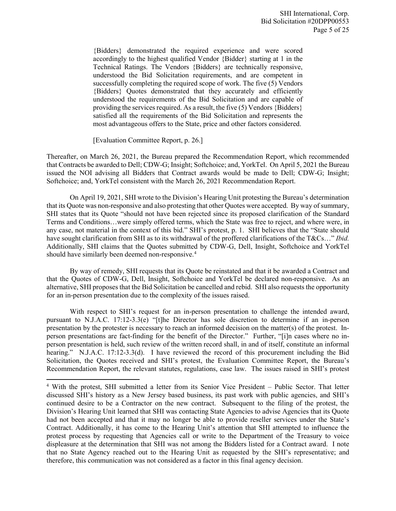{Bidders} demonstrated the required experience and were scored accordingly to the highest qualified Vendor {Bidder} starting at 1 in the Technical Ratings. The Vendors {Bidders} are technically responsive, understood the Bid Solicitation requirements, and are competent in successfully completing the required scope of work. The five (5) Vendors {Bidders} Quotes demonstrated that they accurately and efficiently understood the requirements of the Bid Solicitation and are capable of providing the services required. As a result, the five (5) Vendors {Bidders} satisfied all the requirements of the Bid Solicitation and represents the most advantageous offers to the State, price and other factors considered.

[Evaluation Committee Report, p. 26.]

 $\overline{\phantom{a}}$ 

Thereafter, on March 26, 2021, the Bureau prepared the Recommendation Report, which recommended that Contracts be awarded to Dell; CDW-G; Insight; Softchoice; and, YorkTel. On April 5, 2021 the Bureau issued the NOI advising all Bidders that Contract awards would be made to Dell; CDW-G; Insight; Softchoice; and, YorkTel consistent with the March 26, 2021 Recommendation Report.

On April 19, 2021, SHI wrote to the Division's Hearing Unit protesting the Bureau's determination that its Quote was non-responsive and also protesting that other Quotes were accepted. By way of summary, SHI states that its Quote "should not have been rejected since its proposed clarification of the Standard Terms and Conditions…were simply offered terms, which the State was free to reject, and where were, in any case, not material in the context of this bid." SHI's protest, p. 1. SHI believes that the "State should have sought clarification from SHI as to its withdrawal of the proffered clarifications of the T&Cs…" *Ibid.* Additionally, SHI claims that the Quotes submitted by CDW-G, Dell, Insight, Softchoice and YorkTel should have similarly been deemed non-responsive.<sup>4</sup>

By way of remedy, SHI requests that its Quote be reinstated and that it be awarded a Contract and that the Quotes of CDW-G, Dell, Insight, Softchoice and YorkTel be declared non-responsive. As an alternative, SHI proposes that the Bid Solicitation be cancelled and rebid. SHI also requests the opportunity for an in-person presentation due to the complexity of the issues raised.

With respect to SHI's request for an in-person presentation to challenge the intended award, pursuant to N.J.A.C. 17:12-3.3(e) "[t]he Director has sole discretion to determine if an in-person presentation by the protester is necessary to reach an informed decision on the matter(s) of the protest. Inperson presentations are fact-finding for the benefit of the Director." Further, "[i]n cases where no inperson presentation is held, such review of the written record shall, in and of itself, constitute an informal hearing." N.J.A.C. 17:12-3.3(d). I have reviewed the record of this procurement including the Bid Solicitation, the Quotes received and SHI's protest, the Evaluation Committee Report, the Bureau's Recommendation Report, the relevant statutes, regulations, case law. The issues raised in SHI's protest

<span id="page-5-0"></span><sup>4</sup> With the protest, SHI submitted a letter from its Senior Vice President – Public Sector. That letter discussed SHI's history as a New Jersey based business, its past work with public agencies, and SHI's continued desire to be a Contractor on the new contract. Subsequent to the filing of the protest, the Division's Hearing Unit learned that SHI was contacting State Agencies to advise Agencies that its Quote had not been accepted and that it may no longer be able to provide reseller services under the State's Contract. Additionally, it has come to the Hearing Unit's attention that SHI attempted to influence the protest process by requesting that Agencies call or write to the Department of the Treasury to voice displeasure at the determination that SHI was not among the Bidders listed for a Contract award. I note that no State Agency reached out to the Hearing Unit as requested by the SHI's representative; and therefore, this communication was not considered as a factor in this final agency decision.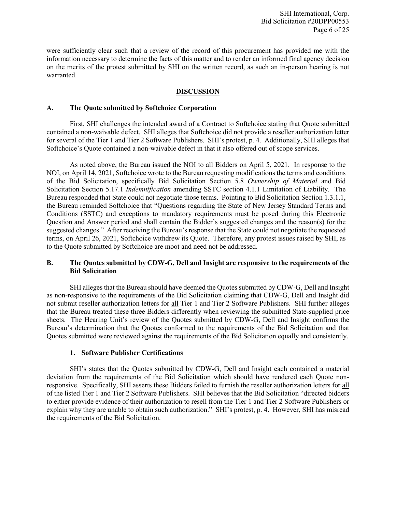SHI International, Corp. Bid Solicitation #20DPP00553 Page 6 of 25

were sufficiently clear such that a review of the record of this procurement has provided me with the information necessary to determine the facts of this matter and to render an informed final agency decision on the merits of the protest submitted by SHI on the written record, as such an in-person hearing is not warranted.

# **DISCUSSION**

#### **A. The Quote submitted by Softchoice Corporation**

First, SHI challenges the intended award of a Contract to Softchoice stating that Quote submitted contained a non-waivable defect. SHI alleges that Softchoice did not provide a reseller authorization letter for several of the Tier 1 and Tier 2 Software Publishers. SHI's protest, p. 4. Additionally, SHI alleges that Softchoice's Quote contained a non-waivable defect in that it also offered out of scope services.

As noted above, the Bureau issued the NOI to all Bidders on April 5, 2021. In response to the NOI, on April 14, 2021, Softchoice wrote to the Bureau requesting modifications the terms and conditions of the Bid Solicitation, specifically Bid Solicitation Section 5.8 *Ownership of Material* and Bid Solicitation Section 5.17.1 *Indemnification* amending SSTC section 4.1.1 Limitation of Liability. The Bureau responded that State could not negotiate those terms. Pointing to Bid Solicitation Section 1.3.1.1, the Bureau reminded Softchoice that "Questions regarding the State of New Jersey Standard Terms and Conditions (SSTC) and exceptions to mandatory requirements must be posed during this Electronic Question and Answer period and shall contain the Bidder's suggested changes and the reason(s) for the suggested changes." After receiving the Bureau's response that the State could not negotiate the requested terms, on April 26, 2021, Softchoice withdrew its Quote. Therefore, any protest issues raised by SHI, as to the Quote submitted by Softchoice are moot and need not be addressed.

# **B. The Quotes submitted by CDW-G, Dell and Insight are responsive to the requirements of the Bid Solicitation**

SHI alleges that the Bureau should have deemed the Quotes submitted by CDW-G, Dell and Insight as non-responsive to the requirements of the Bid Solicitation claiming that CDW-G, Dell and Insight did not submit reseller authorization letters for all Tier 1 and Tier 2 Software Publishers. SHI further alleges that the Bureau treated these three Bidders differently when reviewing the submitted State-supplied price sheets. The Hearing Unit's review of the Quotes submitted by CDW-G, Dell and Insight confirms the Bureau's determination that the Quotes conformed to the requirements of the Bid Solicitation and that Quotes submitted were reviewed against the requirements of the Bid Solicitation equally and consistently.

#### **1. Software Publisher Certifications**

SHI's states that the Quotes submitted by CDW-G, Dell and Insight each contained a material deviation from the requirements of the Bid Solicitation which should have rendered each Quote nonresponsive. Specifically, SHI asserts these Bidders failed to furnish the reseller authorization letters for all of the listed Tier 1 and Tier 2 Software Publishers. SHI believes that the Bid Solicitation "directed bidders to either provide evidence of their authorization to resell from the Tier 1 and Tier 2 Software Publishers or explain why they are unable to obtain such authorization." SHI's protest, p. 4. However, SHI has misread the requirements of the Bid Solicitation.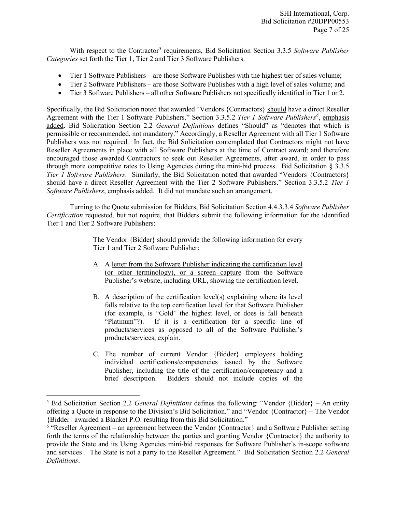With respect to the Contractor<sup>[5](#page-7-0)</sup> requirements, Bid Solicitation Section 3.3.5 *Software Publisher Categories* set forth the Tier 1, Tier 2 and Tier 3 Software Publishers.

- Tier 1 Software Publishers are those Software Publishes with the highest tier of sales volume;
- Tier 2 Software Publishers are those Software Publishes with a high level of sales volume; and
- Tier 3 Software Publishers all other Software Publishers not specifically identified in Tier 1 or 2.

Specifically, the Bid Solicitation noted that awarded "Vendors {Contractors} should have a direct Reseller Agreement with the Tier 1 Software Publishers." Section 3.3.5.2 *Tier 1 Software Publishers[6](#page-7-1)* , emphasis added. Bid Solicitation Section 2.2 *General Definitions* defines "Should" as "denotes that which is permissible or recommended, not mandatory." Accordingly, a Reseller Agreement with all Tier 1 Software Publishers was not required. In fact, the Bid Solicitation contemplated that Contractors might not have Reseller Agreements in place with all Software Publishers at the time of Contract award; and therefore encouraged those awarded Contractors to seek out Reseller Agreements, after award, in order to pass through more competitive rates to Using Agencies during the mini-bid process. Bid Solicitation § 3.3.5 *Tier 1 Software Publishers*. Similarly, the Bid Solicitation noted that awarded "Vendors {Contractors} should have a direct Reseller Agreement with the Tier 2 Software Publishers." Section 3.3.5.2 *Tier 1 Software Publishers*, emphasis added. It did not mandate such an arrangement.

Turning to the Quote submission for Bidders, Bid Solicitation Section 4.4.3.3.4 *Software Publisher Certification* requested, but not require, that Bidders submit the following information for the identified Tier 1 and Tier 2 Software Publishers:

> The Vendor {Bidder} should provide the following information for every Tier 1 and Tier 2 Software Publisher:

- A. A letter from the Software Publisher indicating the certification level (or other terminology), or a screen capture from the Software Publisher's website, including URL, showing the certification level.
- B. A description of the certification level(s) explaining where its level falls relative to the top certification level for that Software Publisher (for example, is "Gold" the highest level, or does is fall beneath "Platinum"?). If it is a certification for a specific line of products/services as opposed to all of the Software Publisher's products/services, explain.
- C. The number of current Vendor {Bidder} employees holding individual certifications/competencies issued by the Software Publisher, including the title of the certification/competency and a brief description. Bidders should not include copies of the

l

<span id="page-7-0"></span><sup>5</sup> Bid Solicitation Section 2.2 *General Definitions* defines the following: "Vendor {Bidder} – An entity offering a Quote in response to the Division's Bid Solicitation." and "Vendor {Contractor} – The Vendor {Bidder} awarded a Blanket P.O. resulting from this Bid Solicitation."

<span id="page-7-1"></span> $6$  "Reseller Agreement – an agreement between the Vendor {Contractor} and a Software Publisher setting forth the terms of the relationship between the parties and granting Vendor {Contractor} the authority to provide the State and its Using Agencies mini-bid responses for Software Publisher's in-scope software and services . The State is not a party to the Reseller Agreement." Bid Solicitation Section 2.2 *General Definitions*.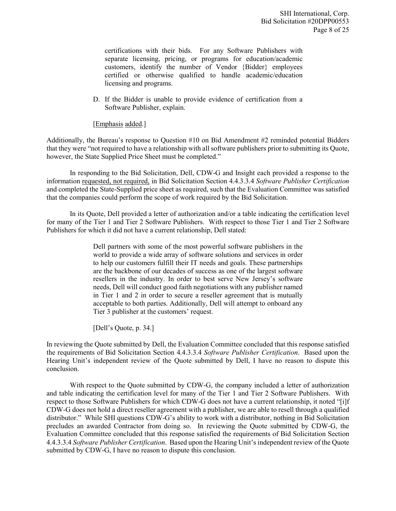certifications with their bids. For any Software Publishers with separate licensing, pricing, or programs for education/academic customers, identify the number of Vendor {Bidder} employees certified or otherwise qualified to handle academic/education licensing and programs.

D. If the Bidder is unable to provide evidence of certification from a Software Publisher, explain.

## [Emphasis added.]

Additionally, the Bureau's response to Question #10 on Bid Amendment #2 reminded potential Bidders that they were "not required to have a relationship with all software publishers prior to submitting its Quote, however, the State Supplied Price Sheet must be completed."

In responding to the Bid Solicitation, Dell, CDW-G and Insight each provided a response to the information requested, not required, in Bid Solicitation Section 4.4.3.3.4 *Software Publisher Certification* and completed the State-Supplied price sheet as required, such that the Evaluation Committee was satisfied that the companies could perform the scope of work required by the Bid Solicitation.

In its Quote, Dell provided a letter of authorization and/or a table indicating the certification level for many of the Tier 1 and Tier 2 Software Publishers. With respect to those Tier 1 and Tier 2 Software Publishers for which it did not have a current relationship, Dell stated:

> Dell partners with some of the most powerful software publishers in the world to provide a wide array of software solutions and services in order to help our customers fulfill their IT needs and goals. These partnerships are the backbone of our decades of success as one of the largest software resellers in the industry. In order to best serve New Jersey's software needs, Dell will conduct good faith negotiations with any publisher named in Tier 1 and 2 in order to secure a reseller agreement that is mutually acceptable to both parties. Additionally, Dell will attempt to onboard any Tier 3 publisher at the customers' request.

[Dell's Quote, p. 34.]

In reviewing the Quote submitted by Dell, the Evaluation Committee concluded that this response satisfied the requirements of Bid Solicitation Section 4.4.3.3.4 *Software Publisher Certification*. Based upon the Hearing Unit's independent review of the Quote submitted by Dell, I have no reason to dispute this conclusion.

With respect to the Quote submitted by CDW-G, the company included a letter of authorization and table indicating the certification level for many of the Tier 1 and Tier 2 Software Publishers. With respect to those Software Publishers for which CDW-G does not have a current relationship, it noted "[i]f CDW-G does not hold a direct reseller agreement with a publisher, we are able to resell through a qualified distributor." While SHI questions CDW-G's ability to work with a distributor, nothing in Bid Solicitation precludes an awarded Contractor from doing so. In reviewing the Quote submitted by CDW-G, the Evaluation Committee concluded that this response satisfied the requirements of Bid Solicitation Section 4.4.3.3.4 *Software Publisher Certification*. Based upon the Hearing Unit's independent review of the Quote submitted by CDW-G, I have no reason to dispute this conclusion.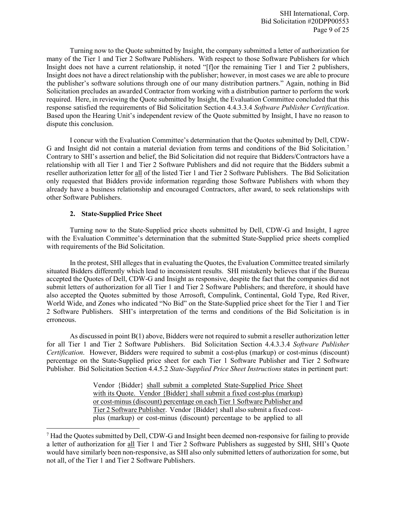Turning now to the Quote submitted by Insight, the company submitted a letter of authorization for many of the Tier 1 and Tier 2 Software Publishers. With respect to those Software Publishers for which Insight does not have a current relationship, it noted "[f]or the remaining Tier 1 and Tier 2 publishers, Insight does not have a direct relationship with the publisher; however, in most cases we are able to procure the publisher's software solutions through one of our many distribution partners." Again, nothing in Bid Solicitation precludes an awarded Contractor from working with a distribution partner to perform the work required. Here, in reviewing the Quote submitted by Insight, the Evaluation Committee concluded that this response satisfied the requirements of Bid Solicitation Section 4.4.3.3.4 *Software Publisher Certification*. Based upon the Hearing Unit's independent review of the Quote submitted by Insight, I have no reason to dispute this conclusion.

I concur with the Evaluation Committee's determination that the Quotes submitted by Dell, CDW-G and Insight did not contain a material deviation from terms and conditions of the Bid Solicitation.[7](#page-9-0) Contrary to SHI's assertion and belief, the Bid Solicitation did not require that Bidders/Contractors have a relationship with all Tier 1 and Tier 2 Software Publishers and did not require that the Bidders submit a reseller authorization letter for all of the listed Tier 1 and Tier 2 Software Publishers. The Bid Solicitation only requested that Bidders provide information regarding those Software Publishers with whom they already have a business relationship and encouraged Contractors, after award, to seek relationships with other Software Publishers.

# **2. State-Supplied Price Sheet**

 $\overline{a}$ 

Turning now to the State-Supplied price sheets submitted by Dell, CDW-G and Insight, I agree with the Evaluation Committee's determination that the submitted State-Supplied price sheets complied with requirements of the Bid Solicitation.

In the protest, SHI alleges that in evaluating the Quotes, the Evaluation Committee treated similarly situated Bidders differently which lead to inconsistent results. SHI mistakenly believes that if the Bureau accepted the Quotes of Dell, CDW-G and Insight as responsive, despite the fact that the companies did not submit letters of authorization for all Tier 1 and Tier 2 Software Publishers; and therefore, it should have also accepted the Quotes submitted by those Arrosoft, Compulink, Continental, Gold Type, Red River, World Wide, and Zones who indicated "No Bid" on the State-Supplied price sheet for the Tier 1 and Tier 2 Software Publishers. SHI's interpretation of the terms and conditions of the Bid Solicitation is in erroneous.

As discussed in point B(1) above, Bidders were not required to submit a reseller authorization letter for all Tier 1 and Tier 2 Software Publishers. Bid Solicitation Section 4.4.3.3.4 *Software Publisher Certification*. However, Bidders were required to submit a cost-plus (markup) or cost-minus (discount) percentage on the State-Supplied price sheet for each Tier 1 Software Publisher and Tier 2 Software Publisher. Bid Solicitation Section 4.4.5.2 *State-Supplied Price Sheet Instructions* states in pertinent part:

> Vendor {Bidder} shall submit a completed State-Supplied Price Sheet with its Quote. Vendor {Bidder} shall submit a fixed cost-plus (markup) or cost-minus (discount) percentage on each Tier 1 Software Publisher and Tier 2 Software Publisher. Vendor {Bidder} shall also submit a fixed costplus (markup) or cost-minus (discount) percentage to be applied to all

<span id="page-9-0"></span> $<sup>7</sup>$  Had the Quotes submitted by Dell, CDW-G and Insight been deemed non-responsive for failing to provide</sup> a letter of authorization for all Tier 1 and Tier 2 Software Publishers as suggested by SHI, SHI's Quote would have similarly been non-responsive, as SHI also only submitted letters of authorization for some, but not all, of the Tier 1 and Tier 2 Software Publishers.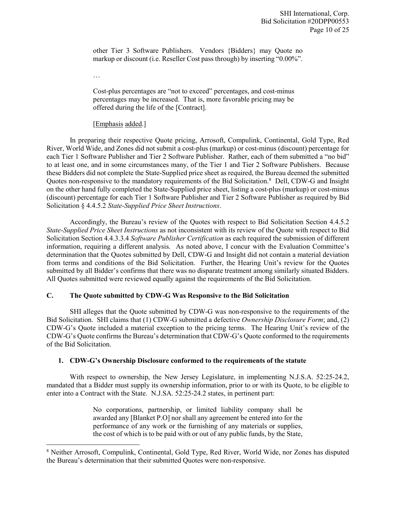other Tier 3 Software Publishers. Vendors {Bidders} may Quote no markup or discount (i.e. Reseller Cost pass through) by inserting "0.00%".

…

l

Cost-plus percentages are "not to exceed" percentages, and cost-minus percentages may be increased. That is, more favorable pricing may be offered during the life of the [Contract].

## [Emphasis added.]

In preparing their respective Quote pricing, Arrosoft, Compulink, Continental, Gold Type, Red River, World Wide, and Zones did not submit a cost-plus (markup) or cost-minus (discount) percentage for each Tier 1 Software Publisher and Tier 2 Software Publisher. Rather, each of them submitted a "no bid" to at least one, and in some circumstances many, of the Tier 1 and Tier 2 Software Publishers. Because these Bidders did not complete the State-Supplied price sheet as required, the Bureau deemed the submitted Quotes non-responsive to the mandatory requirements of the Bid Solicitation.<sup>[8](#page-10-0)</sup> Dell, CDW-G and Insight on the other hand fully completed the State-Supplied price sheet, listing a cost-plus (markup) or cost-minus (discount) percentage for each Tier 1 Software Publisher and Tier 2 Software Publisher as required by Bid Solicitation § 4.4.5.2 *State-Supplied Price Sheet Instructions*.

Accordingly, the Bureau's review of the Quotes with respect to Bid Solicitation Section 4.4.5.2 *State-Supplied Price Sheet Instructions* as not inconsistent with its review of the Quote with respect to Bid Solicitation Section 4.4.3.3.4 *Software Publisher Certification* as each required the submission of different information, requiring a different analysis. As noted above, I concur with the Evaluation Committee's determination that the Quotes submitted by Dell, CDW-G and Insight did not contain a material deviation from terms and conditions of the Bid Solicitation. Further, the Hearing Unit's review for the Quotes submitted by all Bidder's confirms that there was no disparate treatment among similarly situated Bidders. All Quotes submitted were reviewed equally against the requirements of the Bid Solicitation.

# **C. The Quote submitted by CDW-G Was Responsive to the Bid Solicitation**

SHI alleges that the Quote submitted by CDW-G was non-responsive to the requirements of the Bid Solicitation. SHI claims that (1) CDW-G submitted a defective *Ownership Disclosure Form*; and, (2) CDW-G's Quote included a material exception to the pricing terms. The Hearing Unit's review of the CDW-G's Quote confirms the Bureau's determination that CDW-G's Quote conformed to the requirements of the Bid Solicitation.

# **1. CDW-G's Ownership Disclosure conformed to the requirements of the statute**

With respect to ownership, the New Jersey Legislature, in implementing N.J.S.A. 52:25-24.2, mandated that a Bidder must supply its ownership information, prior to or with its Quote, to be eligible to enter into a Contract with the State. N.J.SA. 52:25-24.2 states, in pertinent part:

> No corporations, partnership, or limited liability company shall be awarded any [Blanket P.O] nor shall any agreement be entered into for the performance of any work or the furnishing of any materials or supplies, the cost of which is to be paid with or out of any public funds, by the State,

<span id="page-10-0"></span><sup>8</sup> Neither Arrosoft, Compulink, Continental, Gold Type, Red River, World Wide, nor Zones has disputed the Bureau's determination that their submitted Quotes were non-responsive.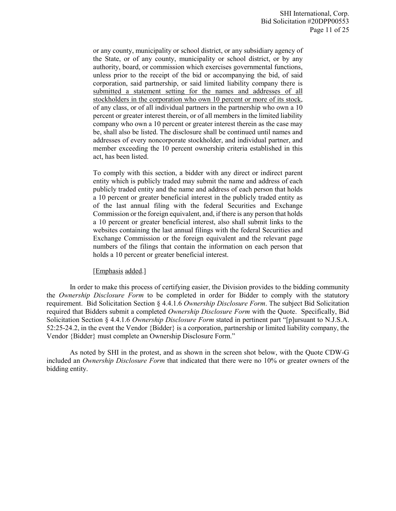or any county, municipality or school district, or any subsidiary agency of the State, or of any county, municipality or school district, or by any authority, board, or commission which exercises governmental functions, unless prior to the receipt of the bid or accompanying the bid, of said corporation, said partnership, or said limited liability company there is submitted a statement setting for the names and addresses of all stockholders in the corporation who own 10 percent or more of its stock, of any class, or of all individual partners in the partnership who own a 10 percent or greater interest therein, or of all members in the limited liability company who own a 10 percent or greater interest therein as the case may be, shall also be listed. The disclosure shall be continued until names and addresses of every noncorporate stockholder, and individual partner, and member exceeding the 10 percent ownership criteria established in this act, has been listed.

To comply with this section, a bidder with any direct or indirect parent entity which is publicly traded may submit the name and address of each publicly traded entity and the name and address of each person that holds a 10 percent or greater beneficial interest in the publicly traded entity as of the last annual filing with the federal Securities and Exchange Commission or the foreign equivalent, and, if there is any person that holds a 10 percent or greater beneficial interest, also shall submit links to the websites containing the last annual filings with the federal Securities and Exchange Commission or the foreign equivalent and the relevant page numbers of the filings that contain the information on each person that holds a 10 percent or greater beneficial interest.

#### [Emphasis added.]

In order to make this process of certifying easier, the Division provides to the bidding community the *Ownership Disclosure Form* to be completed in order for Bidder to comply with the statutory requirement. Bid Solicitation Section § 4.4.1.6 *Ownership Disclosure Form*. The subject Bid Solicitation required that Bidders submit a completed *Ownership Disclosure Form* with the Quote. Specifically, Bid Solicitation Section § 4.4.1.6 *Ownership Disclosure Form* stated in pertinent part "[p]ursuant to N.J.S.A. 52:25-24.2, in the event the Vendor {Bidder} is a corporation, partnership or limited liability company, the Vendor {Bidder} must complete an Ownership Disclosure Form."

As noted by SHI in the protest, and as shown in the screen shot below, with the Quote CDW-G included an *Ownership Disclosure Form* that indicated that there were no 10% or greater owners of the bidding entity.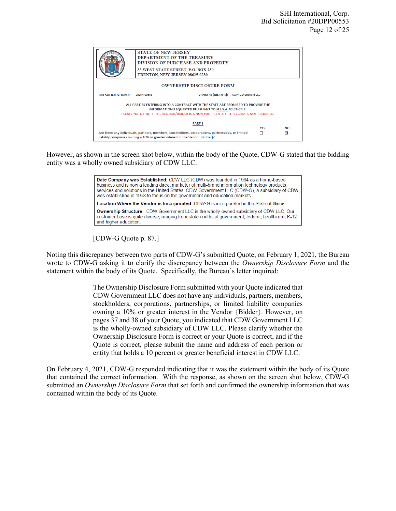| <b>STATE OF NEW JERSEY</b><br><b>DEPARTMENT OF THE TREASURY</b><br>DIVISION OF PURCHASE AND PROPERTY<br>33 WEST STATE STREET, P.O. BOX 230<br>TRENTON, NEW JERSEY 08625-0230<br><b>OWNERSHIP DISCLOSURE FORM</b>                                         |                                                   |  |  |  |  |  |  |
|----------------------------------------------------------------------------------------------------------------------------------------------------------------------------------------------------------------------------------------------------------|---------------------------------------------------|--|--|--|--|--|--|
| <b>BID SOLICITATION #:</b>                                                                                                                                                                                                                               | VENDOR {BIDDER}: CDW Government LLC<br>20DPP00553 |  |  |  |  |  |  |
| ALL PARTIES ENTERING INTO A CONTRACT WITH THE STATE ARE REQUIRED TO PROVIDE THE<br><b>INFORMATION REQUESTED PURSUANT TO N.J.S.A. 52:25-24.2.</b><br>PLEASE NOTE THAT IF THE VENDOR/BIDDER IS A NON-PROFIT ENTITY, THIS FORM IS NOT REQUIRED.             |                                                   |  |  |  |  |  |  |
| <b>PART 1</b><br><b>YES</b><br>NΟ<br>Are there any individuals, partners, members, stockholders, corporations, partnerships, or limited<br>$\overline{\mathcal{L}}$<br>п<br>liability companies owning a 10% or greater interest in the Vendor {Bidder}? |                                                   |  |  |  |  |  |  |

However, as shown in the screen shot below, within the body of the Quote, CDW-G stated that the bidding entity was a wholly owned subsidiary of CDW LLC.



[CDW-G Quote p. 87.]

Noting this discrepancy between two parts of CDW-G's submitted Quote, on February 1, 2021, the Bureau wrote to CDW-G asking it to clarify the discrepancy between the *Ownership Disclosure Form* and the statement within the body of its Quote. Specifically, the Bureau's letter inquired:

> The Ownership Disclosure Form submitted with your Quote indicated that CDW Government LLC does not have any individuals, partners, members, stockholders, corporations, partnerships, or limited liability companies owning a 10% or greater interest in the Vendor {Bidder}. However, on pages 37 and 38 of your Quote, you indicated that CDW Government LLC is the wholly-owned subsidiary of CDW LLC. Please clarify whether the Ownership Disclosure Form is correct or your Quote is correct, and if the Quote is correct, please submit the name and address of each person or entity that holds a 10 percent or greater beneficial interest in CDW LLC.

On February 4, 2021, CDW-G responded indicating that it was the statement within the body of its Quote that contained the correct information. With the response, as shown on the screen shot below, CDW-G submitted an *Ownership Disclosure Form* that set forth and confirmed the ownership information that was contained within the body of its Quote.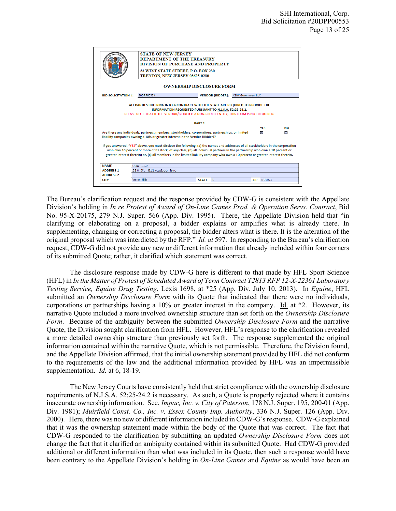|                                  | <b>STATE OF NEW JERSEY</b><br><b>DEPARTMENT OF THE TREASURY</b><br><b>DIVISION OF PURCHASE AND PROPERTY</b><br>33 WEST STATE STREET, P.O. BOX 230<br>TRENTON, NEW JERSEY 08625-0230                                                                                                                                                                                                                    |                                                                                          |  |               |              |  |
|----------------------------------|--------------------------------------------------------------------------------------------------------------------------------------------------------------------------------------------------------------------------------------------------------------------------------------------------------------------------------------------------------------------------------------------------------|------------------------------------------------------------------------------------------|--|---------------|--------------|--|
| <b>OWNERSHIP DISCLOSURE FORM</b> |                                                                                                                                                                                                                                                                                                                                                                                                        |                                                                                          |  |               |              |  |
| <b>BID SOLICITATION #:</b>       | 20DPP00553                                                                                                                                                                                                                                                                                                                                                                                             | VENDOR {BIDDER}: CDW Government LLC                                                      |  |               |              |  |
|                                  |                                                                                                                                                                                                                                                                                                                                                                                                        | PLEASE NOTE THAT IF THE VENDOR/BIDDER IS A NON-PROFIT ENTITY. THIS FORM IS NOT REQUIRED. |  |               |              |  |
|                                  |                                                                                                                                                                                                                                                                                                                                                                                                        | <b>PART 1</b>                                                                            |  |               |              |  |
|                                  |                                                                                                                                                                                                                                                                                                                                                                                                        |                                                                                          |  | <b>YFS</b>    | <b>NO</b>    |  |
|                                  | Are there any individuals, partners, members, stockholders, corporations, partnerships, or limited<br>liability companies owning a 10% or greater interest in the Vendor {Bidder}?                                                                                                                                                                                                                     |                                                                                          |  | $\mathcal{L}$ | $\mathbf{r}$ |  |
|                                  | If you answered, "YES" above, you must disclose the following: (a) the names and addresses of all stockholders in the corporation<br>who own 10 percent or more of its stock, of any class; (b) all individual partners in the partnership who own a 10 percent or<br>greater interest therein; or, (c) all members in the limited liability company who own a 10 percent or greater interest therein. |                                                                                          |  |               |              |  |
| <b>NAME</b>                      | CDW LLC                                                                                                                                                                                                                                                                                                                                                                                                |                                                                                          |  |               |              |  |
| <b>ADDRESS 1</b>                 | 230 N. Milwaukee Ave                                                                                                                                                                                                                                                                                                                                                                                   |                                                                                          |  |               |              |  |
| <b>ADDRESS 2</b>                 |                                                                                                                                                                                                                                                                                                                                                                                                        |                                                                                          |  |               |              |  |

The Bureau's clarification request and the response provided by CDW-G is consistent with the Appellate Division's holding in *In re Protest of Award of On-Line Games Prod. & Operation Servs. Contract*, Bid No. 95-X-20175, 279 N.J. Super. 566 (App. Div. 1995). There, the Appellate Division held that "in clarifying or elaborating on a proposal, a bidder explains or amplifies what is already there. In supplementing, changing or correcting a proposal, the bidder alters what is there. It is the alteration of the original proposal which was interdicted by the RFP." *Id. at* 597. In responding to the Bureau's clarification request, CDW-G did not provide any new or different information that already included within four corners of its submitted Quote; rather, it clarified which statement was correct.

The disclosure response made by CDW-G here is different to that made by HFL Sport Science (HFL) in *In the Matter of Protest of Scheduled Award of Term Contract T2813 RFP 12-X-22361 Laboratory Testing Service, Equine Drug Testing*, Lexis 1698, at \*25 (App. Div. July 10, 2013). In *Equine*, HFL submitted an *Ownership Disclosure Form* with its Quote that indicated that there were no individuals, corporations or partnerships having a 10% or greater interest in the company. Id. at \*2. However, its narrative Quote included a more involved ownership structure than set forth on the *Ownership Disclosure Form*. Because of the ambiguity between the submitted *Ownership Disclosure Form* and the narrative Quote, the Division sought clarification from HFL. However, HFL's response to the clarification revealed a more detailed ownership structure than previously set forth. The response supplemented the original information contained within the narrative Quote, which is not permissible. Therefore, the Division found, and the Appellate Division affirmed, that the initial ownership statement provided by HFL did not conform to the requirements of the law and the additional information provided by HFL was an impermissible supplementation. *Id.* at 6, 18-19.

The New Jersey Courts have consistently held that strict compliance with the ownership disclosure requirements of N.J.S.A. 52:25-24.2 is necessary. As such, a Quote is properly rejected where it contains inaccurate ownership information. See, *Impac, Inc. v. City of Paterson*, 178 N.J. Super. 195, 200-01 (App. Div. 1981); *Muirfield Const. Co., Inc. v. Essex County Imp. Authority*, 336 N.J. Super. 126 (App. Div. 2000). Here, there was no new or different information included in CDW-G's response. CDW-G explained that it was the ownership statement made within the body of the Quote that was correct. The fact that CDW-G responded to the clarification by submitting an updated *Ownership Disclosure Form* does not change the fact that it clarified an ambiguity contained within its submitted Quote. Had CDW-G provided additional or different information than what was included in its Quote, then such a response would have been contrary to the Appellate Division's holding in *On-Line Games* and *Equine* as would have been an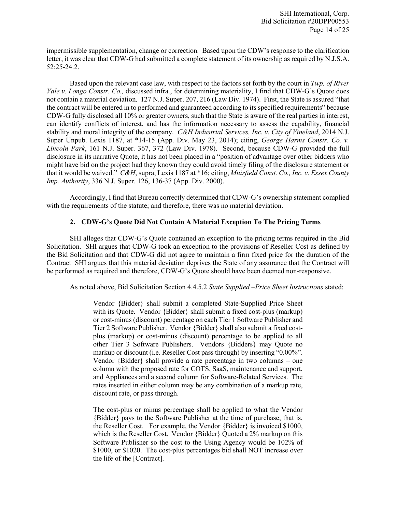impermissible supplementation, change or correction. Based upon the CDW's response to the clarification letter, it was clear that CDW-G had submitted a complete statement of its ownership as required by N.J.S.A. 52:25-24.2.

Based upon the relevant case law, with respect to the factors set forth by the court in *Twp. of River Vale v. Longo Constr. Co.,* discussed infra., for determining materiality, I find that CDW-G's Quote does not contain a material deviation. 127 N.J. Super. 207, 216 (Law Div. 1974). First, the State is assured "that the contract will be entered in to performed and guaranteed according to its specified requirements" because CDW-G fully disclosed all 10% or greater owners, such that the State is aware of the real parties in interest, can identify conflicts of interest, and has the information necessary to assess the capability, financial stability and moral integrity of the company. *C&H Industrial Services, Inc. v. City of Vineland*, 2014 N.J. Super Unpub. Lexis 1187, at \*14-15 (App. Div. May 23, 2014); citing, *George Harms Constr. Co. v. Lincoln Park*, 161 N.J. Super. 367, 372 (Law Div. 1978). Second, because CDW-G provided the full disclosure in its narrative Quote, it has not been placed in a "position of advantage over other bidders who might have bid on the project had they known they could avoid timely filing of the disclosure statement or that it would be waived." *C&H*, supra, Lexis 1187 at \*16; citing, *Muirfield Const. Co., Inc. v. Essex County Imp. Authority*, 336 N.J. Super. 126, 136-37 (App. Div. 2000).

Accordingly, I find that Bureau correctly determined that CDW-G's ownership statement complied with the requirements of the statute; and therefore, there was no material deviation.

# **2. CDW-G's Quote Did Not Contain A Material Exception To The Pricing Terms**

SHI alleges that CDW-G's Quote contained an exception to the pricing terms required in the Bid Solicitation. SHI argues that CDW-G took an exception to the provisions of Reseller Cost as defined by the Bid Solicitation and that CDW-G did not agree to maintain a firm fixed price for the duration of the Contract SHI argues that this material deviation deprives the State of any assurance that the Contract will be performed as required and therefore, CDW-G's Quote should have been deemed non-responsive.

As noted above, Bid Solicitation Section 4.4.5.2 *State Supplied –Price Sheet Instructions* stated:

Vendor {Bidder} shall submit a completed State-Supplied Price Sheet with its Quote. Vendor {Bidder} shall submit a fixed cost-plus (markup) or cost-minus (discount) percentage on each Tier 1 Software Publisher and Tier 2 Software Publisher. Vendor {Bidder} shall also submit a fixed costplus (markup) or cost-minus (discount) percentage to be applied to all other Tier 3 Software Publishers. Vendors {Bidders} may Quote no markup or discount (i.e. Reseller Cost pass through) by inserting "0.00%". Vendor {Bidder} shall provide a rate percentage in two columns – one column with the proposed rate for COTS, SaaS, maintenance and support, and Appliances and a second column for Software-Related Services. The rates inserted in either column may be any combination of a markup rate, discount rate, or pass through.

The cost-plus or minus percentage shall be applied to what the Vendor {Bidder} pays to the Software Publisher at the time of purchase, that is, the Reseller Cost. For example, the Vendor {Bidder} is invoiced \$1000, which is the Reseller Cost. Vendor {Bidder} Quoted a 2% markup on this Software Publisher so the cost to the Using Agency would be 102% of \$1000, or \$1020. The cost-plus percentages bid shall NOT increase over the life of the [Contract].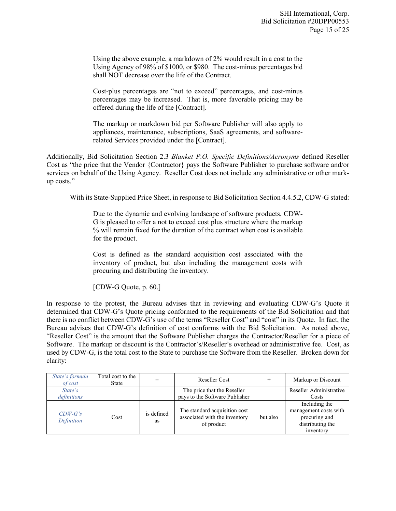Using the above example, a markdown of 2% would result in a cost to the Using Agency of 98% of \$1000, or \$980. The cost-minus percentages bid shall NOT decrease over the life of the Contract.

Cost-plus percentages are "not to exceed" percentages, and cost-minus percentages may be increased. That is, more favorable pricing may be offered during the life of the [Contract].

The markup or markdown bid per Software Publisher will also apply to appliances, maintenance, subscriptions, SaaS agreements, and softwarerelated Services provided under the [Contract].

Additionally, Bid Solicitation Section 2.3 *Blanket P.O. Specific Definitions/Acronyms* defined Reseller Cost as "the price that the Vendor {Contractor} pays the Software Publisher to purchase software and/or services on behalf of the Using Agency. Reseller Cost does not include any administrative or other markup costs."

With its State-Supplied Price Sheet, in response to Bid Solicitation Section 4.4.5.2, CDW-G stated:

Due to the dynamic and evolving landscape of software products, CDW-G is pleased to offer a not to exceed cost plus structure where the markup % will remain fixed for the duration of the contract when cost is available for the product.

Cost is defined as the standard acquisition cost associated with the inventory of product, but also including the management costs with procuring and distributing the inventory.

[CDW-G Quote, p. 60.]

In response to the protest, the Bureau advises that in reviewing and evaluating CDW-G's Quote it determined that CDW-G's Quote pricing conformed to the requirements of the Bid Solicitation and that there is no conflict between CDW-G's use of the terms "Reseller Cost" and "cost" in its Quote. In fact, the Bureau advises that CDW-G's definition of cost conforms with the Bid Solicitation. As noted above, "Reseller Cost" is the amount that the Software Publisher charges the Contractor/Reseller for a piece of Software. The markup or discount is the Contractor's/Reseller's overhead or administrative fee. Cost, as used by CDW-G, is the total cost to the State to purchase the Software from the Reseller. Broken down for clarity:

| State's formula<br>of cost | Total cost to the<br>State |                  | Reseller Cost                                                                |          | Markup or Discount                                                                       |
|----------------------------|----------------------------|------------------|------------------------------------------------------------------------------|----------|------------------------------------------------------------------------------------------|
| State's<br>definitions     |                            |                  | The price that the Reseller<br>pays to the Software Publisher                |          | Reseller Administrative<br>Costs                                                         |
| $CDW-G's$<br>Definition    | Cost                       | is defined<br>as | The standard acquisition cost<br>associated with the inventory<br>of product | but also | Including the<br>management costs with<br>procuring and<br>distributing the<br>inventory |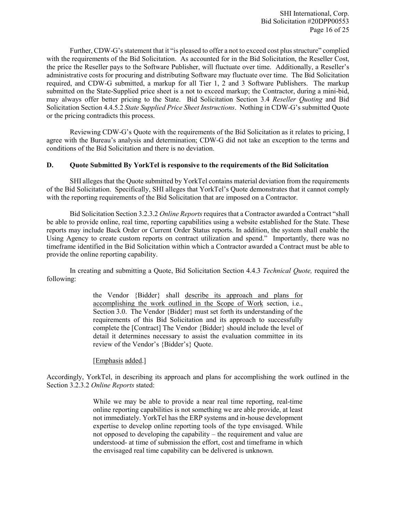Further, CDW-G's statement that it "is pleased to offer a not to exceed cost plus structure" complied with the requirements of the Bid Solicitation. As accounted for in the Bid Solicitation, the Reseller Cost, the price the Reseller pays to the Software Publisher, will fluctuate over time. Additionally, a Reseller's administrative costs for procuring and distributing Software may fluctuate over time. The Bid Solicitation required, and CDW-G submitted, a markup for all Tier 1, 2 and 3 Software Publishers. The markup submitted on the State-Supplied price sheet is a not to exceed markup; the Contractor, during a mini-bid, may always offer better pricing to the State. Bid Solicitation Section 3.4 *Reseller Quoting* and Bid Solicitation Section 4.4.5.2 *State Supplied Price Sheet Instructions*. Nothing in CDW-G's submitted Quote or the pricing contradicts this process.

Reviewing CDW-G's Quote with the requirements of the Bid Solicitation as it relates to pricing, I agree with the Bureau's analysis and determination; CDW-G did not take an exception to the terms and conditions of the Bid Solicitation and there is no deviation.

## **D. Quote Submitted By YorkTel is responsive to the requirements of the Bid Solicitation**

SHI alleges that the Quote submitted by YorkTel contains material deviation from the requirements of the Bid Solicitation. Specifically, SHI alleges that YorkTel's Quote demonstrates that it cannot comply with the reporting requirements of the Bid Solicitation that are imposed on a Contractor.

Bid Solicitation Section 3.2.3.2 *Online Reports* requires that a Contractor awarded a Contract "shall be able to provide online, real time, reporting capabilities using a website established for the State. These reports may include Back Order or Current Order Status reports. In addition, the system shall enable the Using Agency to create custom reports on contract utilization and spend." Importantly, there was no timeframe identified in the Bid Solicitation within which a Contractor awarded a Contract must be able to provide the online reporting capability.

In creating and submitting a Quote, Bid Solicitation Section 4.4.3 *Technical Quote,* required the following:

> the Vendor {Bidder} shall describe its approach and plans for accomplishing the work outlined in the Scope of Work section, i.e., Section 3.0. The Vendor {Bidder} must set forth its understanding of the requirements of this Bid Solicitation and its approach to successfully complete the [Contract] The Vendor {Bidder} should include the level of detail it determines necessary to assist the evaluation committee in its review of the Vendor's {Bidder's} Quote.

[Emphasis added.]

Accordingly, YorkTel, in describing its approach and plans for accomplishing the work outlined in the Section 3.2.3.2 *Online Reports* stated:

> While we may be able to provide a near real time reporting, real-time online reporting capabilities is not something we are able provide, at least not immediately. YorkTel has the ERP systems and in-house development expertise to develop online reporting tools of the type envisaged. While not opposed to developing the capability – the requirement and value are understood- at time of submission the effort, cost and timeframe in which the envisaged real time capability can be delivered is unknown.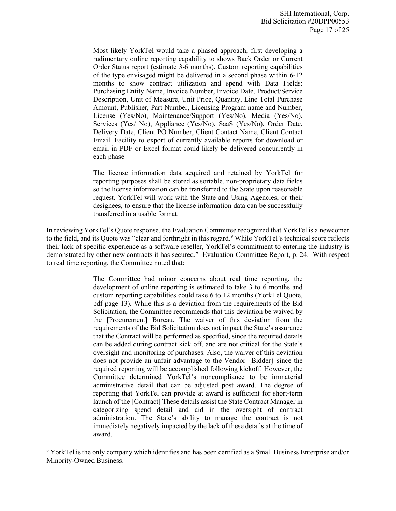Most likely YorkTel would take a phased approach, first developing a rudimentary online reporting capability to shows Back Order or Current Order Status report (estimate 3-6 months). Custom reporting capabilities of the type envisaged might be delivered in a second phase within 6-12 months to show contract utilization and spend with Data Fields: Purchasing Entity Name, Invoice Number, Invoice Date, Product/Service Description, Unit of Measure, Unit Price, Quantity, Line Total Purchase Amount, Publisher, Part Number, Licensing Program name and Number, License (Yes/No), Maintenance/Support (Yes/No), Media (Yes/No), Services (Yes/ No), Appliance (Yes/No), SaaS (Yes/No), Order Date, Delivery Date, Client PO Number, Client Contact Name, Client Contact Email. Facility to export of currently available reports for download or email in PDF or Excel format could likely be delivered concurrently in each phase

The license information data acquired and retained by YorkTel for reporting purposes shall be stored as sortable, non-proprietary data fields so the license information can be transferred to the State upon reasonable request. YorkTel will work with the State and Using Agencies, or their designees, to ensure that the license information data can be successfully transferred in a usable format.

In reviewing YorkTel's Quote response, the Evaluation Committee recognized that YorkTel is a newcomer to the field, and its Quote was "clear and forthright in this regard.<sup>[9](#page-17-0)</sup> While YorkTel's technical score reflects their lack of specific experience as a software reseller, YorkTel's commitment to entering the industry is demonstrated by other new contracts it has secured." Evaluation Committee Report, p. 24. With respect to real time reporting, the Committee noted that:

> The Committee had minor concerns about real time reporting, the development of online reporting is estimated to take 3 to 6 months and custom reporting capabilities could take 6 to 12 months (YorkTel Quote, pdf page 13). While this is a deviation from the requirements of the Bid Solicitation, the Committee recommends that this deviation be waived by the [Procurement] Bureau. The waiver of this deviation from the requirements of the Bid Solicitation does not impact the State's assurance that the Contract will be performed as specified, since the required details can be added during contract kick off, and are not critical for the State's oversight and monitoring of purchases. Also, the waiver of this deviation does not provide an unfair advantage to the Vendor {Bidder} since the required reporting will be accomplished following kickoff. However, the Committee determined YorkTel's noncompliance to be immaterial administrative detail that can be adjusted post award. The degree of reporting that YorkTel can provide at award is sufficient for short-term launch of the [Contract] These details assist the State Contract Manager in categorizing spend detail and aid in the oversight of contract administration. The State's ability to manage the contract is not immediately negatively impacted by the lack of these details at the time of award.

l

<span id="page-17-0"></span><sup>&</sup>lt;sup>9</sup> YorkTel is the only company which identifies and has been certified as a Small Business Enterprise and/or Minority-Owned Business.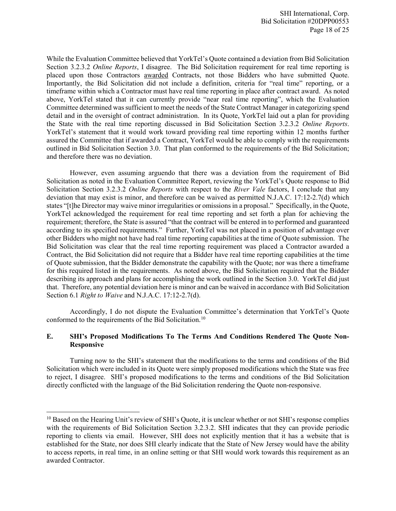While the Evaluation Committee believed that YorkTel's Quote contained a deviation from Bid Solicitation Section 3.2.3.2 *Online Reports*, I disagree. The Bid Solicitation requirement for real time reporting is placed upon those Contractors awarded Contracts, not those Bidders who have submitted Quote. Importantly, the Bid Solicitation did not include a definition, criteria for "real time" reporting, or a timeframe within which a Contractor must have real time reporting in place after contract award. As noted above, YorkTel stated that it can currently provide "near real time reporting", which the Evaluation Committee determined was sufficient to meet the needs of the State Contract Manager in categorizing spend detail and in the oversight of contract administration. In its Quote, YorkTel laid out a plan for providing the State with the real time reporting discussed in Bid Solicitation Section 3.2.3.2 *Online Reports*. YorkTel's statement that it would work toward providing real time reporting within 12 months further assured the Committee that if awarded a Contract, YorkTel would be able to comply with the requirements outlined in Bid Solicitation Section 3.0. That plan conformed to the requirements of the Bid Solicitation; and therefore there was no deviation.

However, even assuming arguendo that there was a deviation from the requirement of Bid Solicitation as noted in the Evaluation Committee Report, reviewing the YorkTel's Quote response to Bid Solicitation Section 3.2.3.2 *Online Reports* with respect to the *River Vale* factors, I conclude that any deviation that may exist is minor, and therefore can be waived as permitted N.J.A.C. 17:12-2.7(d) which states "[t]he Director may waive minor irregularities or omissions in a proposal." Specifically, in the Quote, YorkTel acknowledged the requirement for real time reporting and set forth a plan for achieving the requirement; therefore, the State is assured "that the contract will be entered in to performed and guaranteed according to its specified requirements." Further, YorkTel was not placed in a position of advantage over other Bidders who might not have had real time reporting capabilities at the time of Quote submission. The Bid Solicitation was clear that the real time reporting requirement was placed a Contractor awarded a Contract, the Bid Solicitation did not require that a Bidder have real time reporting capabilities at the time of Quote submission, that the Bidder demonstrate the capability with the Quote; nor was there a timeframe for this required listed in the requirements. As noted above, the Bid Solicitation required that the Bidder describing its approach and plans for accomplishing the work outlined in the Section 3.0. YorkTel did just that. Therefore, any potential deviation here is minor and can be waived in accordance with Bid Solicitation Section 6.1 *Right to Waive* and N.J.A.C. 17:12-2.7(d).

Accordingly, I do not dispute the Evaluation Committee's determination that YorkTel's Quote conformed to the requirements of the Bid Solicitation.[10](#page-18-0)

## **E. SHI's Proposed Modifications To The Terms And Conditions Rendered The Quote Non-Responsive**

Turning now to the SHI's statement that the modifications to the terms and conditions of the Bid Solicitation which were included in its Quote were simply proposed modifications which the State was free to reject, I disagree. SHI's proposed modifications to the terms and conditions of the Bid Solicitation directly conflicted with the language of the Bid Solicitation rendering the Quote non-responsive.

 $\overline{\phantom{a}}$ 

<span id="page-18-0"></span><sup>&</sup>lt;sup>10</sup> Based on the Hearing Unit's review of SHI's Quote, it is unclear whether or not SHI's response complies with the requirements of Bid Solicitation Section 3.2.3.2. SHI indicates that they can provide periodic reporting to clients via email. However, SHI does not explicitly mention that it has a website that is established for the State, nor does SHI clearly indicate that the State of New Jersey would have the ability to access reports, in real time, in an online setting or that SHI would work towards this requirement as an awarded Contractor.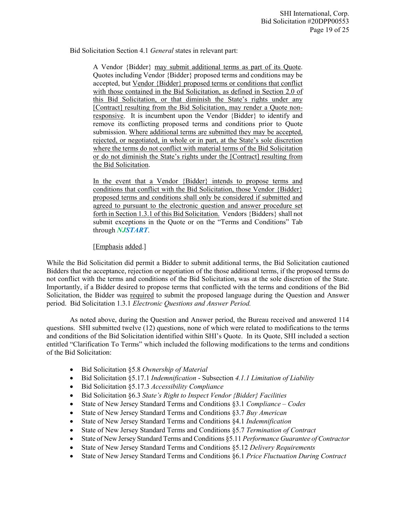Bid Solicitation Section 4.1 *General* states in relevant part:

A Vendor {Bidder} may submit additional terms as part of its Quote. Quotes including Vendor {Bidder} proposed terms and conditions may be accepted, but Vendor {Bidder} proposed terms or conditions that conflict with those contained in the Bid Solicitation, as defined in Section 2.0 of this Bid Solicitation, or that diminish the State's rights under any [Contract] resulting from the Bid Solicitation, may render a Quote nonresponsive. It is incumbent upon the Vendor {Bidder} to identify and remove its conflicting proposed terms and conditions prior to Quote submission. Where additional terms are submitted they may be accepted, rejected, or negotiated, in whole or in part, at the State's sole discretion where the terms do not conflict with material terms of the Bid Solicitation or do not diminish the State's rights under the [Contract] resulting from the Bid Solicitation.

In the event that a Vendor {Bidder} intends to propose terms and conditions that conflict with the Bid Solicitation, those Vendor {Bidder} proposed terms and conditions shall only be considered if submitted and agreed to pursuant to the electronic question and answer procedure set forth in Section 1.3.1 of this Bid Solicitation. Vendors {Bidders} shall not submit exceptions in the Quote or on the "Terms and Conditions" Tab through *NJSTART*.

[Emphasis added.]

While the Bid Solicitation did permit a Bidder to submit additional terms, the Bid Solicitation cautioned Bidders that the acceptance, rejection or negotiation of the those additional terms, if the proposed terms do not conflict with the terms and conditions of the Bid Solicitation, was at the sole discretion of the State. Importantly, if a Bidder desired to propose terms that conflicted with the terms and conditions of the Bid Solicitation, the Bidder was required to submit the proposed language during the Question and Answer period. Bid Solicitation 1.3.1 *Electronic Questions and Answer Period.* 

As noted above, during the Question and Answer period, the Bureau received and answered 114 questions. SHI submitted twelve (12) questions, none of which were related to modifications to the terms and conditions of the Bid Solicitation identified within SHI's Quote. In its Quote, SHI included a section entitled "Clarification To Terms" which included the following modifications to the terms and conditions of the Bid Solicitation:

- Bid Solicitation §5.8 *Ownership of Material*
- Bid Solicitation §5.17.1 *Indemnification* Subsection *4.1.1 Limitation of Liability*
- Bid Solicitation §5.17.3 *Accessibility Compliance*
- Bid Solicitation §6.3 *State's Right to Inspect Vendor {Bidder} Facilities*
- State of New Jersey Standard Terms and Conditions §3.1 *Compliance – Codes*
- State of New Jersey Standard Terms and Conditions §3.7 *Buy American*
- State of New Jersey Standard Terms and Conditions §4.1 *Indemnification*
- State of New Jersey Standard Terms and Conditions §5.7 *Termination of Contract*
- State of New Jersey Standard Terms and Conditions §5.11 *Performance Guarantee of Contractor*
- State of New Jersey Standard Terms and Conditions §5.12 *Delivery Requirements*
- State of New Jersey Standard Terms and Conditions §6.1 *Price Fluctuation During Contract*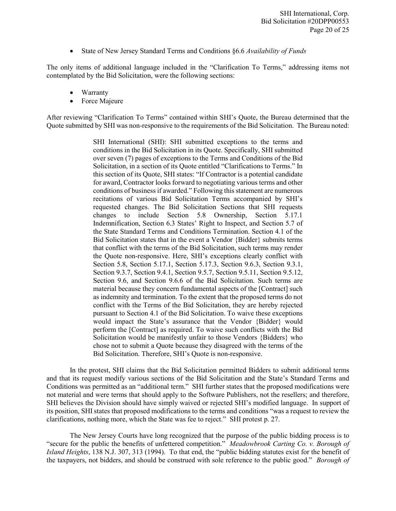• State of New Jersey Standard Terms and Conditions §6.6 *Availability of Funds*

The only items of additional language included in the "Clarification To Terms," addressing items not contemplated by the Bid Solicitation, were the following sections:

- Warranty
- Force Majeure

After reviewing "Clarification To Terms" contained within SHI's Quote, the Bureau determined that the Quote submitted by SHI was non-responsive to the requirements of the Bid Solicitation. The Bureau noted:

> SHI International (SHI): SHI submitted exceptions to the terms and conditions in the Bid Solicitation in its Quote. Specifically, SHI submitted over seven (7) pages of exceptions to the Terms and Conditions of the Bid Solicitation, in a section of its Quote entitled "Clarifications to Terms." In this section of its Quote, SHI states: "If Contractor is a potential candidate for award, Contractor looks forward to negotiating various terms and other conditions of business if awarded." Following this statement are numerous recitations of various Bid Solicitation Terms accompanied by SHI's requested changes. The Bid Solicitation Sections that SHI requests changes to include Section 5.8 Ownership, Section 5.17.1 Indemnification, Section 6.3 States' Right to Inspect, and Section 5.7 of the State Standard Terms and Conditions Termination. Section 4.1 of the Bid Solicitation states that in the event a Vendor {Bidder} submits terms that conflict with the terms of the Bid Solicitation, such terms may render the Quote non-responsive. Here, SHI's exceptions clearly conflict with Section 5.8, Section 5.17.1, Section 5.17.3, Section 9.6.3, Section 9.3.1, Section 9.3.7, Section 9.4.1, Section 9.5.7, Section 9.5.11, Section 9.5.12, Section 9.6, and Section 9.6.6 of the Bid Solicitation. Such terms are material because they concern fundamental aspects of the [Contract] such as indemnity and termination. To the extent that the proposed terms do not conflict with the Terms of the Bid Solicitation, they are hereby rejected pursuant to Section 4.1 of the Bid Solicitation. To waive these exceptions would impact the State's assurance that the Vendor {Bidder} would perform the [Contract] as required. To waive such conflicts with the Bid Solicitation would be manifestly unfair to those Vendors {Bidders} who chose not to submit a Quote because they disagreed with the terms of the Bid Solicitation. Therefore, SHI's Quote is non-responsive.

In the protest, SHI claims that the Bid Solicitation permitted Bidders to submit additional terms and that its request modify various sections of the Bid Solicitation and the State's Standard Terms and Conditions was permitted as an "additional term." SHI further states that the proposed modifications were not material and were terms that should apply to the Software Publishers, not the resellers; and therefore, SHI believes the Division should have simply waived or rejected SHI's modified language. In support of its position, SHI states that proposed modifications to the terms and conditions "was a request to review the clarifications, nothing more, which the State was fee to reject." SHI protest p. 27.

The New Jersey Courts have long recognized that the purpose of the public bidding process is to "secure for the public the benefits of unfettered competition." *Meadowbrook Carting Co. v. Borough of Island Heights*, 138 N.J. 307, 313 (1994). To that end, the "public bidding statutes exist for the benefit of the taxpayers, not bidders, and should be construed with sole reference to the public good." *Borough of*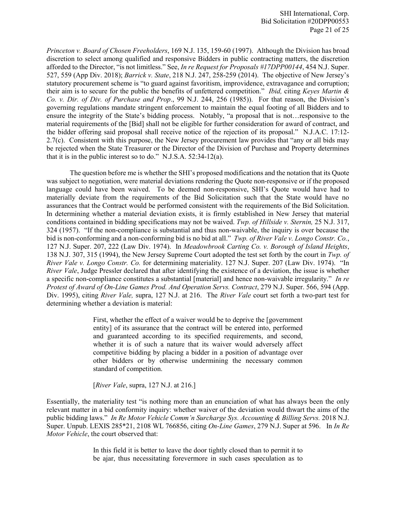*Princeton v. Board of Chosen Freeholders*, 169 N.J. 135, 159-60 (1997). Although the Division has broad discretion to select among qualified and responsive Bidders in public contracting matters, the discretion afforded to the Director, "is not limitless." See, *In re Request for Proposals #17DPP00144*, 454 N.J. Super. 527, 559 (App Div. 2018); *Barrick v. State*, 218 N.J. 247, 258-259 (2014). The objective of New Jersey's statutory procurement scheme is "to guard against favoritism, improvidence, extravagance and corruption; their aim is to secure for the public the benefits of unfettered competition." *Ibid,* citing *Keyes Martin & Co. v. Dir. of Div. of Purchase and Prop*., 99 N.J. 244, 256 (1985)). For that reason, the Division's governing regulations mandate stringent enforcement to maintain the equal footing of all Bidders and to ensure the integrity of the State's bidding process. Notably, "a proposal that is not…responsive to the material requirements of the [Bid] shall not be eligible for further consideration for award of contract, and the bidder offering said proposal shall receive notice of the rejection of its proposal." N.J.A.C. 17:12- 2.7(c). Consistent with this purpose, the New Jersey procurement law provides that "any or all bids may be rejected when the State Treasurer or the Director of the Division of Purchase and Property determines that it is in the public interest so to do." N.J.S.A. 52:34-12(a).

The question before me is whether the SHI's proposed modifications and the notation that its Quote was subject to negotiation, were material deviations rendering the Quote non-responsive or if the proposed language could have been waived. To be deemed non-responsive, SHI's Quote would have had to materially deviate from the requirements of the Bid Solicitation such that the State would have no assurances that the Contract would be performed consistent with the requirements of the Bid Solicitation. In determining whether a material deviation exists, it is firmly established in New Jersey that material conditions contained in bidding specifications may not be waived. *Twp. of Hillside v. Sternin,* 25 N.J. 317, 324 (1957). "If the non-compliance is substantial and thus non-waivable, the inquiry is over because the bid is non-conforming and a non-conforming bid is no bid at all." *Twp. of River Vale v. Longo Constr. Co.*, 127 N.J. Super. 207, 222 (Law Div. 1974). In *Meadowbrook Carting Co. v. Borough of Island Heights*, 138 N.J. 307, 315 (1994), the New Jersey Supreme Court adopted the test set forth by the court in *Twp. of River Vale v. Longo Constr. Co.* for determining materiality. 127 N.J. Super. 207 (Law Div. 1974). "In *River Vale*, Judge Pressler declared that after identifying the existence of a deviation, the issue is whether a specific non-compliance constitutes a substantial [material] and hence non-waivable irregularity." *In re Protest of Award of On-Line Games Prod. And Operation Servs. Contract*, 279 N.J. Super. 566, 594 (App. Div. 1995), citing *River Vale,* supra, 127 N.J. at 216. The *River Vale* court set forth a two-part test for determining whether a deviation is material:

> First, whether the effect of a waiver would be to deprive the [government entity] of its assurance that the contract will be entered into, performed and guaranteed according to its specified requirements, and second, whether it is of such a nature that its waiver would adversely affect competitive bidding by placing a bidder in a position of advantage over other bidders or by otherwise undermining the necessary common standard of competition.

[*River Vale*, supra, 127 N.J. at 216.]

Essentially, the materiality test "is nothing more than an enunciation of what has always been the only relevant matter in a bid conformity inquiry: whether waiver of the deviation would thwart the aims of the public bidding laws." *In Re Motor Vehicle Comm'n Surcharge Sys. Accounting & Billing Servs.* 2018 N.J. Super. Unpub. LEXIS 285\*21, 2108 WL 766856, citing *On-Line Games*, 279 N.J. Super at 596. In *In Re Motor Vehicle*, the court observed that:

> In this field it is better to leave the door tightly closed than to permit it to be ajar, thus necessitating forevermore in such cases speculation as to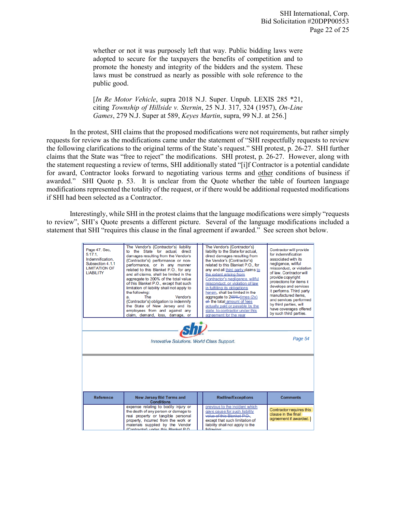whether or not it was purposely left that way. Public bidding laws were adopted to secure for the taxpayers the benefits of competition and to promote the honesty and integrity of the bidders and the system. These laws must be construed as nearly as possible with sole reference to the public good.

[*In Re Motor Vehicle*, supra 2018 N.J. Super. Unpub. LEXIS 285 \*21, citing *Township of Hillside v. Sternin*, 25 N.J. 317, 324 (1957), *On-Line Games*, 279 N.J. Super at 589, *Keyes Martin*, supra, 99 N.J. at 256.]

In the protest, SHI claims that the proposed modifications were not requirements, but rather simply requests for review as the modifications came under the statement of "SHI respectfully requests to review the following clarifications to the original terms of the State's request." SHI protest, p. 26-27. SHI further claims that the State was "free to reject" the modifications. SHI protest, p. 26-27. However, along with the statement requesting a review of terms, SHI additionally stated "[i]f Contractor is a potential candidate for award, Contractor looks forward to negotiating various terms and other conditions of business if awarded." SHI Quote p. 53. It is unclear from the Quote whether the table of fourteen language modifications represented the totality of the request, or if there would be additional requested modifications if SHI had been selected as a Contractor.

Interestingly, while SHI in the protest claims that the language modifications were simply "requests to review", SHI's Quote presents a different picture. Several of the language modifications included a statement that SHI "requires this clause in the final agreement if awarded." See screen shot below.

| Page 47, Sec.<br>5.17.1<br>Indemnification.<br>Subsection 4.1.1<br><b>LIMITATION OF</b><br><b>LIABILITY</b> | The Vendor's {Contractor's} liability<br>to the State for actual, direct<br>damages resulting from the Vendor's<br>{Contractor's} performance or non-<br>performance, or in any manner<br>related to this Blanket P.O., for any<br>and all claims, shall be limited in the<br>aggregate to 200% of the total value<br>of this Blanket P.O., except that such<br>limitation of liability shall not apply to<br>the following:<br>Vendor's<br>The<br>a.<br>{Contractor's} obligation to indemnify<br>the State of New Jersey and its<br>employees from and against any<br>claim, demand, loss, damage, or |  | The Vendor's {Contractor's}<br>liability to the State for actual.<br>direct damages resulting from<br>the Vendor's {Contractor's}<br>related to this Blanket P.O., for<br>any and all third party claims to<br>the extent arising from<br>Contractor's negligence, willful<br>misconduct, or violation of law<br>in fulfilling its obligations<br>herein, shall be limited in the<br>aggregate to 200%-times (2x)<br>ef the total amount of fees<br>actually paid or payable by the<br>state to contractor under this<br>agreement for the year | Contractor will provide<br>for indemnification<br>associated with its<br>negligence, willful<br>misconduct, or violation<br>of law. Contractor will<br>provide copyright<br>protections for items it<br>develops and services<br>it performs. Third party<br>manufactured items.<br>and services performed<br>by third parties, will<br>have coverages offered<br>by such third parties. |  |
|-------------------------------------------------------------------------------------------------------------|---------------------------------------------------------------------------------------------------------------------------------------------------------------------------------------------------------------------------------------------------------------------------------------------------------------------------------------------------------------------------------------------------------------------------------------------------------------------------------------------------------------------------------------------------------------------------------------------------------|--|-------------------------------------------------------------------------------------------------------------------------------------------------------------------------------------------------------------------------------------------------------------------------------------------------------------------------------------------------------------------------------------------------------------------------------------------------------------------------------------------------------------------------------------------------|------------------------------------------------------------------------------------------------------------------------------------------------------------------------------------------------------------------------------------------------------------------------------------------------------------------------------------------------------------------------------------------|--|
| $sh\nu$<br>Page 54<br>Innovative Solutions. World Class Support.                                            |                                                                                                                                                                                                                                                                                                                                                                                                                                                                                                                                                                                                         |  |                                                                                                                                                                                                                                                                                                                                                                                                                                                                                                                                                 |                                                                                                                                                                                                                                                                                                                                                                                          |  |
|                                                                                                             |                                                                                                                                                                                                                                                                                                                                                                                                                                                                                                                                                                                                         |  |                                                                                                                                                                                                                                                                                                                                                                                                                                                                                                                                                 |                                                                                                                                                                                                                                                                                                                                                                                          |  |
| <b>Reference</b>                                                                                            | <b>New Jersey Bid Terms and</b><br><b>Conditions</b>                                                                                                                                                                                                                                                                                                                                                                                                                                                                                                                                                    |  | <b>Redline/Exceptions</b>                                                                                                                                                                                                                                                                                                                                                                                                                                                                                                                       | <b>Comments</b>                                                                                                                                                                                                                                                                                                                                                                          |  |
|                                                                                                             | expense relating to bodily injury or<br>the death of any person or damage to<br>real property or tangible personal<br>property, incurred from the work or<br>materials supplied by the Vendor<br>Contractor) under this Rlanket PO                                                                                                                                                                                                                                                                                                                                                                      |  | previous to the incident which<br>gave cause for such liability<br>value of this Blanket P.O.,<br>except that such limitation of<br>liability shall not apply to the<br>following                                                                                                                                                                                                                                                                                                                                                               | Contractor requires this<br>clause in the final<br>agreement if awarded.                                                                                                                                                                                                                                                                                                                 |  |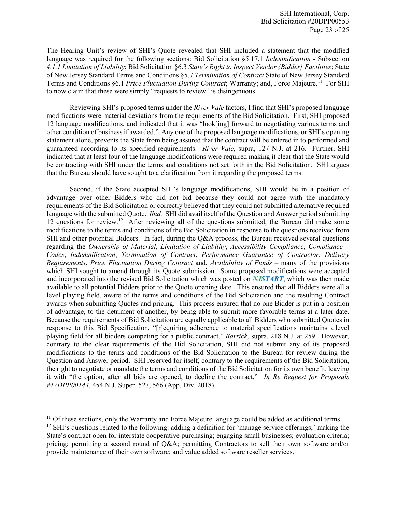The Hearing Unit's review of SHI's Quote revealed that SHI included a statement that the modified language was required for the following sections: Bid Solicitation §5.17.1 *Indemnification* - Subsection *4.1.1 Limitation of Liability*; Bid Solicitation §6.3 *State's Right to Inspect Vendor {Bidder} Facilities*; State of New Jersey Standard Terms and Conditions §5.7 *Termination of Contract* State of New Jersey Standard Terms and Conditions *§6.1 Price Fluctuation During Contract*; Warranty; and, Force Majeure.<sup>[11](#page-23-0)</sup> For SHI to now claim that these were simply "requests to review" is disingenuous.

Reviewing SHI's proposed terms under the *River Vale* factors, I find that SHI's proposed language modifications were material deviations from the requirements of the Bid Solicitation. First, SHI proposed 12 language modifications, and indicated that it was "look[ing] forward to negotiating various terms and other condition of business if awarded." Any one of the proposed language modifications, or SHI's opening statement alone, prevents the State from being assured that the contract will be entered in to performed and guaranteed according to its specified requirements. *River Vale*, supra, 127 N.J. at 216. Further, SHI indicated that at least four of the language modifications were required making it clear that the State would be contracting with SHI under the terms and conditions not set forth in the Bid Solicitation. SHI argues that the Bureau should have sought to a clarification from it regarding the proposed terms.

Second, if the State accepted SHI's language modifications, SHI would be in a position of advantage over other Bidders who did not bid because they could not agree with the mandatory requirements of the Bid Solicitation or correctly believed that they could not submitted alternative required language with the submitted Quote. *Ibid.* SHI did avail itself of the Question and Answer period submitting 12 questions for review.[12](#page-23-1) After reviewing all of the questions submitted, the Bureau did make some modifications to the terms and conditions of the Bid Solicitation in response to the questions received from SHI and other potential Bidders. In fact, during the Q&A process, the Bureau received several questions regarding the *Ownership of Material*, *Limitation of Liability*, *Accessibility Compliance*, *Compliance – Codes*, *Indemnification*, *Termination of Contract*, *Performance Guarantee of Contractor*, *Delivery Requirements*, *Price Fluctuation During Contract* and, *Availability of Funds* – many of the provisions which SHI sought to amend through its Quote submission. Some proposed modifications were accepted and incorporated into the revised Bid Solicitation which was posted on *NJSTART*, which was then made available to all potential Bidders prior to the Quote opening date. This ensured that all Bidders were all a level playing field, aware of the terms and conditions of the Bid Solicitation and the resulting Contract awards when submitting Quotes and pricing. This process ensured that no one Bidder is put in a position of advantage, to the detriment of another, by being able to submit more favorable terms at a later date. Because the requirements of Bid Solicitation are equally applicable to all Bidders who submitted Quotes in response to this Bid Specification, "[r]equiring adherence to material specifications maintains a level playing field for all bidders competing for a public contract." *Barrick*, supra, 218 N.J. at 259. However, contrary to the clear requirements of the Bid Solicitation, SHI did not submit any of its proposed modifications to the terms and conditions of the Bid Solicitation to the Bureau for review during the Question and Answer period. SHI reserved for itself, contrary to the requirements of the Bid Solicitation, the right to negotiate or mandate the terms and conditions of the Bid Solicitation for its own benefit, leaving it with "the option, after all bids are opened, to decline the contract." *In Re Request for Proposals #17DPP00144*, 454 N.J. Super. 527, 566 (App. Div. 2018).

l

<span id="page-23-0"></span><sup>&</sup>lt;sup>11</sup> Of these sections, only the Warranty and Force Majeure language could be added as additional terms.

<span id="page-23-1"></span> $12$  SHI's questions related to the following: adding a definition for 'manage service offerings;' making the State's contract open for interstate cooperative purchasing; engaging small businesses; evaluation criteria; pricing; permitting a second round of Q&A; permitting Contractors to sell their own software and/or provide maintenance of their own software; and value added software reseller services.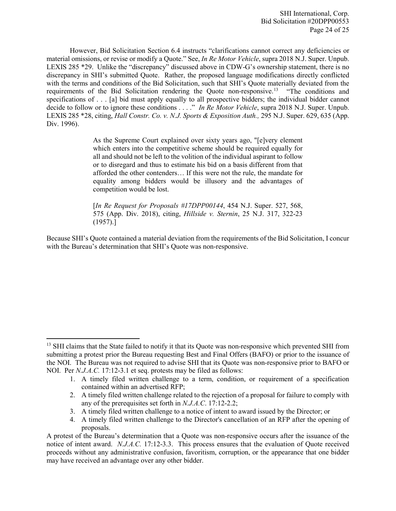However, Bid Solicitation Section 6.4 instructs "clarifications cannot correct any deficiencies or material omissions, or revise or modify a Quote." See, *In Re Motor Vehicle*, supra 2018 N.J. Super. Unpub. LEXIS 285 \*29. Unlike the "discrepancy" discussed above in CDW-G's ownership statement, there is no discrepancy in SHI's submitted Quote. Rather, the proposed language modifications directly conflicted with the terms and conditions of the Bid Solicitation, such that SHI's Quote materially deviated from the requirements of the Bid Solicitation rendering the Quote non-responsive.[13](#page-24-0) "The conditions and specifications of . . . [a] bid must apply equally to all prospective bidders; the individual bidder cannot decide to follow or to ignore these conditions . . . ." *In Re Motor Vehicle*, supra 2018 N.J. Super. Unpub. LEXIS 285 \*28, citing, *Hall Constr. Co. v. N.J. Sports & Exposition Auth.,* 295 N.J. Super. 629, 635 (App. Div. 1996).

> As the Supreme Court explained over sixty years ago, "[e]very element which enters into the competitive scheme should be required equally for all and should not be left to the volition of the individual aspirant to follow or to disregard and thus to estimate his bid on a basis different from that afforded the other contenders… If this were not the rule, the mandate for equality among bidders would be illusory and the advantages of competition would be lost.

> [*In Re Request for Proposals #17DPP00144*, 454 N.J. Super. 527, 568, 575 (App. Div. 2018), citing, *Hillside v. Sternin*, 25 N.J. 317, 322-23 (1957).]

Because SHI's Quote contained a material deviation from the requirements of the Bid Solicitation, I concur with the Bureau's determination that SHI's Quote was non-responsive.

 $\overline{a}$ 

<span id="page-24-0"></span><sup>&</sup>lt;sup>13</sup> SHI claims that the State failed to notify it that its Quote was non-responsive which prevented SHI from submitting a protest prior the Bureau requesting Best and Final Offers (BAFO) or prior to the issuance of the NOI. The Bureau was not required to advise SHI that its Quote was non-responsive prior to BAFO or NOI. Per *N.J.A.C.* 17:12-3.1 et seq. protests may be filed as follows:

<sup>1.</sup> A timely filed written challenge to a term, condition, or requirement of a specification contained within an advertised RFP;

<sup>2.</sup> A timely filed written challenge related to the rejection of a proposal for failure to comply with any of the prerequisites set forth in *N.J.A.C*. 17:12-2.2;

<sup>3.</sup> A timely filed written challenge to a notice of intent to award issued by the Director; or

<sup>4.</sup> A timely filed written challenge to the Director's cancellation of an RFP after the opening of proposals.

A protest of the Bureau's determination that a Quote was non-responsive occurs after the issuance of the notice of intent award. *N.J.A.C.* 17:12-3.3. This process ensures that the evaluation of Quote received proceeds without any administrative confusion, favoritism, corruption, or the appearance that one bidder may have received an advantage over any other bidder.